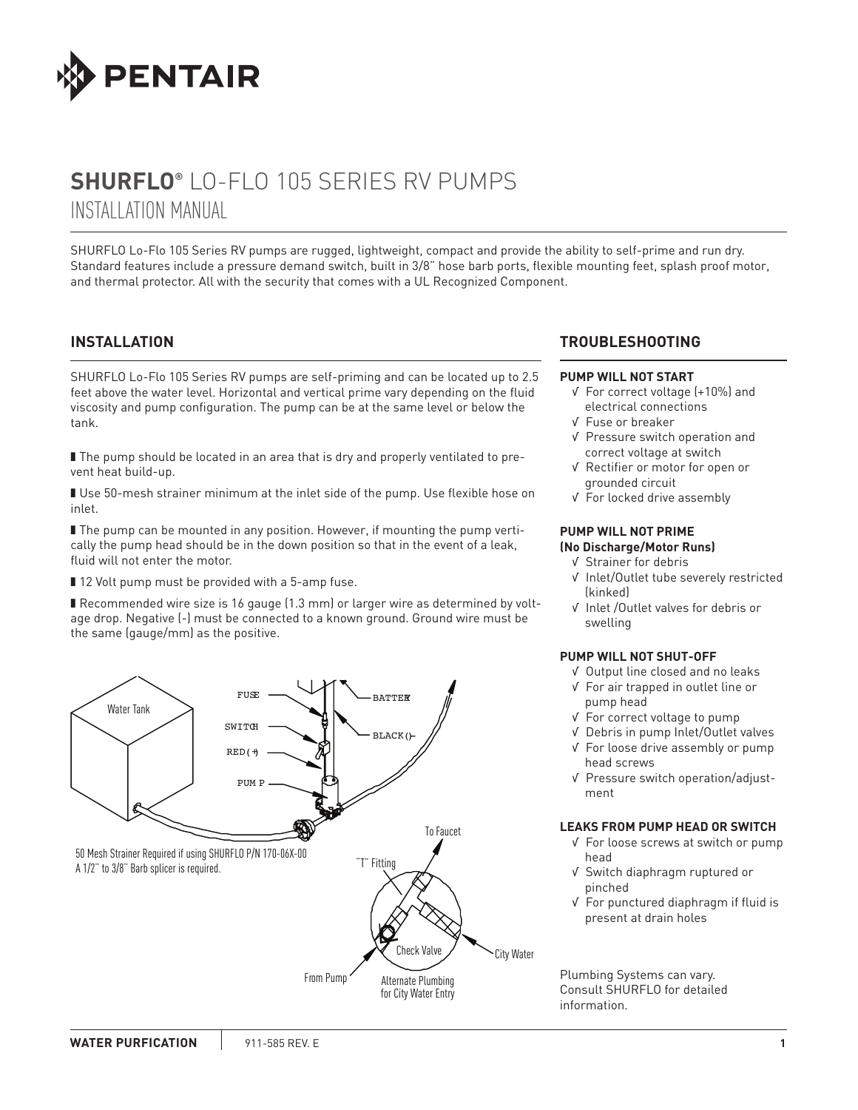

# **SHURFLO®** LO-FLO 105 SERIES RV PUMPS INSTALLATION MANUAL

SHURFLO Lo-Flo 105 Series RV pumps are rugged, lightweight, compact and provide the ability to self-prime and run dry. Standard features include a pressure demand switch, built in 3/8" hose barb ports, flexible mounting feet, splash proof motor, and thermal protector. All with the security that comes with a UL Recognized Component.

## **INSTALLATION**

SHURflo Lo-Flo 105 Series RV pumps are self-priming and can be located up to 2.5 feet above the water level. Horizontal and vertical prime vary depending on the fluid viscosity and pump configuration. The pump can be at the same level or below the tank.

■ The pump should be located in an area that is dry and properly ventilated to prevent heat build-up.

■ Use 50-mesh strainer minimum at the inlet side of the pump. Use flexible hose on inlet.

■ The pump can be mounted in any position. However, if mounting the pump vertically the pump head should be in the down position so that in the event of a leak, fluid will not enter the motor.

■ 12 Volt pump must be provided with a 5-amp fuse.

■ Recommended wire size is 16 gauge (1.3 mm) or larger wire as determined by voltage drop. Negative (-) must be connected to a known ground. Ground wire must be the same (gauge/mm) as the positive.



## **TROUBLESHOOTING**

#### **PUMP WILL NOT START**

- √ For correct voltage (+10%) and electrical connections
- √ Fuse or breaker
- √ Pressure switch operation and correct voltage at switch
- √ Rectifier or motor for open or grounded circuit
- √ For locked drive assembly

### **PUMP WILL NOT PRIME (No Discharge/Motor Runs)**

- √ Strainer for debris
- √ Inlet/Outlet tube severely restricted (kinked)
- √ Inlet /Outlet valves for debris or swelling

### **PUMP WILL NOT SHUT-OFF**

- √ Output line closed and no leaks
- √ For air trapped in outlet line or pump head
- √ For correct voltage to pump
- √ Debris in pump Inlet/Outlet valves
- √ For loose drive assembly or pump head screws
- √ Pressure switch operation/adjustment

#### **LEAKS FROM PUMP HEAD OR SWITCH**

- √ For loose screws at switch or pump head
- √ Switch diaphragm ruptured or pinched
- √ For punctured diaphragm if fluid is present at drain holes

Plumbing Systems can vary. Consult SHURFLO for detailed information.